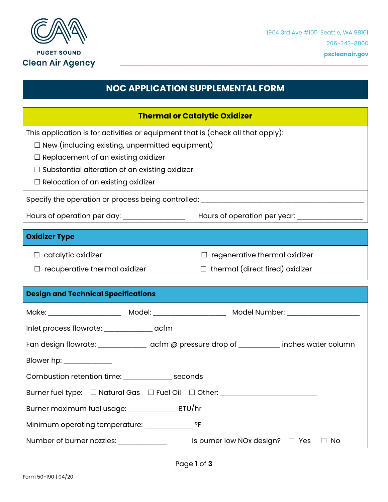

**PUGET SOUND Clean Air Agency** 

## **NOC APPLICATION SUPPLEMENTAL FORM**

| <b>Thermal or Catalytic Oxidizer</b>                                                                                                                                                                                                             |                                                                                                     |  |
|--------------------------------------------------------------------------------------------------------------------------------------------------------------------------------------------------------------------------------------------------|-----------------------------------------------------------------------------------------------------|--|
| This application is for activities or equipment that is (check all that apply):<br>$\Box$ New (including existing, unpermitted equipment)<br>$\Box$ Replacement of an existing oxidizer<br>$\Box$ Substantial alteration of an existing oxidizer |                                                                                                     |  |
| $\Box$ Relocation of an existing oxidizer                                                                                                                                                                                                        |                                                                                                     |  |
| Specify the operation or process being controlled: ______________________________                                                                                                                                                                |                                                                                                     |  |
|                                                                                                                                                                                                                                                  | Hours of operation per day: _____________________  Hours of operation per year: ___________________ |  |
| <b>Oxidizer Type</b>                                                                                                                                                                                                                             |                                                                                                     |  |
| $\Box$ catalytic oxidizer                                                                                                                                                                                                                        | $\Box$ regenerative thermal oxidizer                                                                |  |
| $\Box$ recuperative thermal oxidizer                                                                                                                                                                                                             | $\Box$ thermal (direct fired) oxidizer                                                              |  |
|                                                                                                                                                                                                                                                  |                                                                                                     |  |
| <b>Design and Technical Specifications</b>                                                                                                                                                                                                       |                                                                                                     |  |
| Make: ________________________ Model: _______________________ Model Number: _________________                                                                                                                                                    |                                                                                                     |  |
|                                                                                                                                                                                                                                                  |                                                                                                     |  |
|                                                                                                                                                                                                                                                  | Fan design flowrate: ________________ acfm @ pressure drop of __________ inches water column        |  |
| Blower hp: _____________                                                                                                                                                                                                                         |                                                                                                     |  |
| Combustion retention time: _______________ seconds                                                                                                                                                                                               |                                                                                                     |  |
| Burner fuel type: □ Natural Gas □ Fuel Oil □ Other: ___________________________                                                                                                                                                                  |                                                                                                     |  |
| Burner maximum fuel usage: _______________________ BTU/hr                                                                                                                                                                                        |                                                                                                     |  |
| Minimum operating temperature: __________                                                                                                                                                                                                        | $^{\circ}$ F                                                                                        |  |
| Number of burner nozzles: ______________                                                                                                                                                                                                         | Is burner low NOx design? $\Box$ Yes<br>$\Box$ No                                                   |  |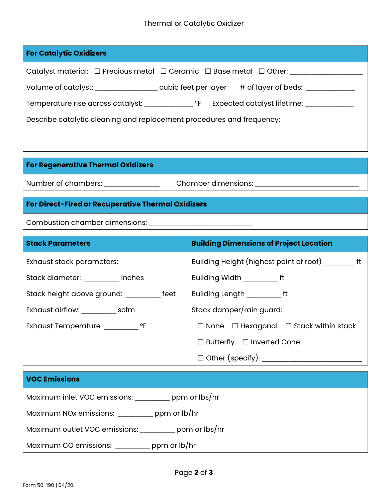#### Thermal or Catalytic Oxidizer

| <b>For Catalytic Oxidizers</b>                                                          |                             |
|-----------------------------------------------------------------------------------------|-----------------------------|
| Catalyst material: $\Box$ Precious metal $\Box$ Ceramic $\Box$ Base metal $\Box$ Other: |                             |
| Volume of catalyst: cubic feet per layer                                                | # of layer of beds:         |
| Temperature rise across catalyst: Temperature rise across catalyst:                     | Expected catalyst lifetime: |
| Describe catalytic cleaning and replacement procedures and frequency:                   |                             |
|                                                                                         |                             |

### **For Regenerative Thermal Oxidizers**

Number of chambers: \_\_\_\_\_\_\_\_\_\_\_\_\_\_\_\_\_\_\_\_\_\_\_Chamber dimensions: \_\_\_\_\_\_\_\_\_\_\_\_\_\_\_\_\_

## **For Direct-Fired or Recuperative Thermal Oxidizers**

Combustion chamber dimensions:

| <b>Stack Parameters</b>                     | <b>Building Dimensions of Project Location</b>         |
|---------------------------------------------|--------------------------------------------------------|
| Exhaust stack parameters:                   |                                                        |
| Stack diameter: inches                      | Building Width ______________ ft                       |
| Stack height above ground: ___________ feet | Building Length _____________ ft                       |
| Exhaust airflow: _____________ scfm         | Stack damper/rain guard:                               |
| Exhaust Temperature: ___________ °F         | $\Box$ None $\Box$ Hexagonal $\Box$ Stack within stack |
|                                             | $\Box$ Butterfly $\Box$ Inverted Cone                  |
|                                             | $\Box$ Other (specify): ___________                    |

# **VOC Emissions** Maximum inlet VOC emissions: \_\_\_\_\_\_\_\_\_\_ ppm or lbs/hr Maximum NOx emissions: \_\_\_\_\_\_\_\_\_\_ ppm or lb/hr Maximum outlet VOC emissions: \_\_\_\_\_\_\_\_\_\_ ppm or lbs/hr Maximum CO emissions: \_\_\_\_\_\_\_\_\_\_ ppm or lb/hr